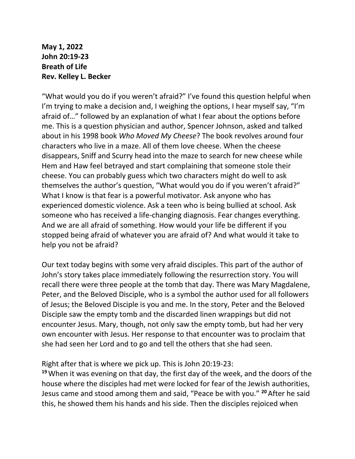**May 1, 2022 John 20:19-23 Breath of Life Rev. Kelley L. Becker**

"What would you do if you weren't afraid?" I've found this question helpful when I'm trying to make a decision and, I weighing the options, I hear myself say, "I'm afraid of…" followed by an explanation of what I fear about the options before me. This is a question physician and author, Spencer Johnson, asked and talked about in his 1998 book *Who Moved My Cheese*? The book revolves around four characters who live in a maze. All of them love cheese. When the cheese disappears, Sniff and Scurry head into the maze to search for new cheese while Hem and Haw feel betrayed and start complaining that someone stole their cheese. You can probably guess which two characters might do well to ask themselves the author's question, "What would you do if you weren't afraid?" What I know is that fear is a powerful motivator. Ask anyone who has experienced domestic violence. Ask a teen who is being bullied at school. Ask someone who has received a life-changing diagnosis. Fear changes everything. And we are all afraid of something. How would your life be different if you stopped being afraid of whatever you are afraid of? And what would it take to help you not be afraid?

Our text today begins with some very afraid disciples. This part of the author of John's story takes place immediately following the resurrection story. You will recall there were three people at the tomb that day. There was Mary Magdalene, Peter, and the Beloved Disciple, who is a symbol the author used for all followers of Jesus; the Beloved Disciple is you and me. In the story, Peter and the Beloved Disciple saw the empty tomb and the discarded linen wrappings but did not encounter Jesus. Mary, though, not only saw the empty tomb, but had her very own encounter with Jesus. Her response to that encounter was to proclaim that she had seen her Lord and to go and tell the others that she had seen.

Right after that is where we pick up. This is John 20:19-23:

**<sup>19</sup>**When it was evening on that day, the first day of the week, and the doors of the house where the disciples had met were locked for fear of the Jewish authorities, Jesus came and stood among them and said, "Peace be with you." **<sup>20</sup>** After he said this, he showed them his hands and his side. Then the disciples rejoiced when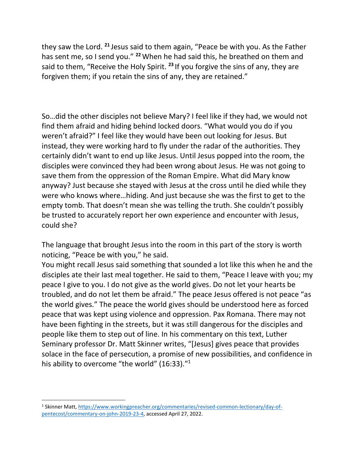they saw the Lord. **<sup>21</sup>** Jesus said to them again, "Peace be with you. As the Father has sent me, so I send you." **<sup>22</sup>**When he had said this, he breathed on them and said to them, "Receive the Holy Spirit. **<sup>23</sup>** If you forgive the sins of any, they are forgiven them; if you retain the sins of any, they are retained."

So…did the other disciples not believe Mary? I feel like if they had, we would not find them afraid and hiding behind locked doors. "What would you do if you weren't afraid?" I feel like they would have been out looking for Jesus. But instead, they were working hard to fly under the radar of the authorities. They certainly didn't want to end up like Jesus. Until Jesus popped into the room, the disciples were convinced they had been wrong about Jesus. He was not going to save them from the oppression of the Roman Empire. What did Mary know anyway? Just because she stayed with Jesus at the cross until he died while they were who knows where…hiding. And just because she was the first to get to the empty tomb. That doesn't mean she was telling the truth. She couldn't possibly be trusted to accurately report her own experience and encounter with Jesus, could she?

The language that brought Jesus into the room in this part of the story is worth noticing, "Peace be with you," he said.

You might recall Jesus said something that sounded a lot like this when he and the disciples ate their last meal together. He said to them, "Peace I leave with you; my peace I give to you. I do not give as the world gives. Do not let your hearts be troubled, and do not let them be afraid." The peace Jesus offered is not peace "as the world gives." The peace the world gives should be understood here as forced peace that was kept using violence and oppression. Pax Romana. There may not have been fighting in the streets, but it was still dangerous for the disciples and people like them to step out of line. In his commentary on this text, Luther Seminary professor Dr. Matt Skinner writes, "[Jesus] gives peace that provides solace in the face of persecution, a promise of new possibilities, and confidence in his ability to overcome "the world" (16:33)."<sup>1</sup>

<sup>&</sup>lt;sup>1</sup> Skinner Matt, [https://www.workingpreacher.org/commentaries/revised-common-lectionary/day-of](https://www.workingpreacher.org/commentaries/revised-common-lectionary/day-of-pentecost/commentary-on-john-2019-23-4)[pentecost/commentary-on-john-2019-23-4,](https://www.workingpreacher.org/commentaries/revised-common-lectionary/day-of-pentecost/commentary-on-john-2019-23-4) accessed April 27, 2022.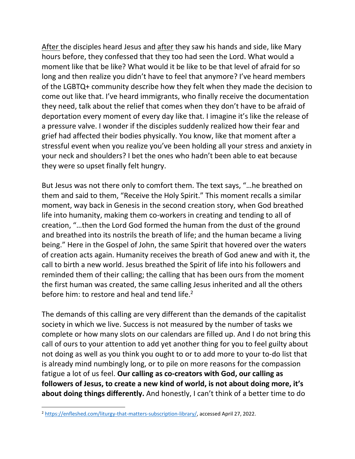After the disciples heard Jesus and after they saw his hands and side, like Mary hours before, they confessed that they too had seen the Lord. What would a moment like that be like? What would it be like to be that level of afraid for so long and then realize you didn't have to feel that anymore? I've heard members of the LGBTQ+ community describe how they felt when they made the decision to come out like that. I've heard immigrants, who finally receive the documentation they need, talk about the relief that comes when they don't have to be afraid of deportation every moment of every day like that. I imagine it's like the release of a pressure valve. I wonder if the disciples suddenly realized how their fear and grief had affected their bodies physically. You know, like that moment after a stressful event when you realize you've been holding all your stress and anxiety in your neck and shoulders? I bet the ones who hadn't been able to eat because they were so upset finally felt hungry.

But Jesus was not there only to comfort them. The text says, "…he breathed on them and said to them, "Receive the Holy Spirit." This moment recalls a similar moment, way back in Genesis in the second creation story, when God breathed life into humanity, making them co-workers in creating and tending to all of creation, "…then the Lord God formed the human from the dust of the ground and breathed into its nostrils the breath of life; and the human became a living being." Here in the Gospel of John, the same Spirit that hovered over the waters of creation acts again. Humanity receives the breath of God anew and with it, the call to birth a new world. Jesus breathed the Spirit of life into his followers and reminded them of their calling; the calling that has been ours from the moment the first human was created, the same calling Jesus inherited and all the others before him: to restore and heal and tend life. $2$ 

The demands of this calling are very different than the demands of the capitalist society in which we live. Success is not measured by the number of tasks we complete or how many slots on our calendars are filled up. And I do not bring this call of ours to your attention to add yet another thing for you to feel guilty about not doing as well as you think you ought to or to add more to your to-do list that is already mind numbingly long, or to pile on more reasons for the compassion fatigue a lot of us feel. **Our calling as co-creators with God, our calling as followers of Jesus, to create a new kind of world, is not about doing more, it's about doing things differently.** And honestly, I can't think of a better time to do

<sup>2</sup> [https://enfleshed.com/liturgy-that-matters-subscription-library/,](https://enfleshed.com/liturgy-that-matters-subscription-library/) accessed April 27, 2022.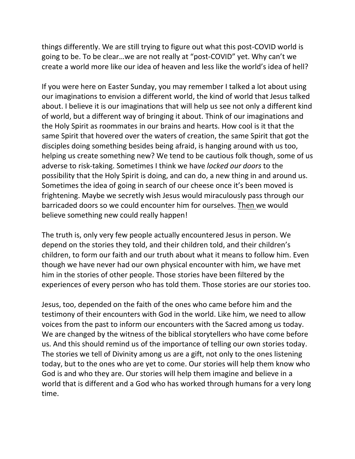things differently. We are still trying to figure out what this post-COVID world is going to be. To be clear…we are not really at "post-COVID" yet. Why can't we create a world more like our idea of heaven and less like the world's idea of hell?

If you were here on Easter Sunday, you may remember I talked a lot about using our imaginations to envision a different world, the kind of world that Jesus talked about. I believe it is our imaginations that will help us see not only a different kind of world, but a different way of bringing it about. Think of our imaginations and the Holy Spirit as roommates in our brains and hearts. How cool is it that the same Spirit that hovered over the waters of creation, the same Spirit that got the disciples doing something besides being afraid, is hanging around with us too, helping us create something new? We tend to be cautious folk though, some of us adverse to risk-taking. Sometimes I think we have *locked our doors* to the possibility that the Holy Spirit is doing, and can do, a new thing in and around us. Sometimes the idea of going in search of our cheese once it's been moved is frightening. Maybe we secretly wish Jesus would miraculously pass through our barricaded doors so we could encounter him for ourselves. Then we would believe something new could really happen!

The truth is, only very few people actually encountered Jesus in person. We depend on the stories they told, and their children told, and their children's children, to form our faith and our truth about what it means to follow him. Even though we have never had our own physical encounter with him, we have met him in the stories of other people. Those stories have been filtered by the experiences of every person who has told them. Those stories are our stories too.

Jesus, too, depended on the faith of the ones who came before him and the testimony of their encounters with God in the world. Like him, we need to allow voices from the past to inform our encounters with the Sacred among us today. We are changed by the witness of the biblical storytellers who have come before us. And this should remind us of the importance of telling our own stories today. The stories we tell of Divinity among us are a gift, not only to the ones listening today, but to the ones who are yet to come. Our stories will help them know who God is and who they are. Our stories will help them imagine and believe in a world that is different and a God who has worked through humans for a very long time.